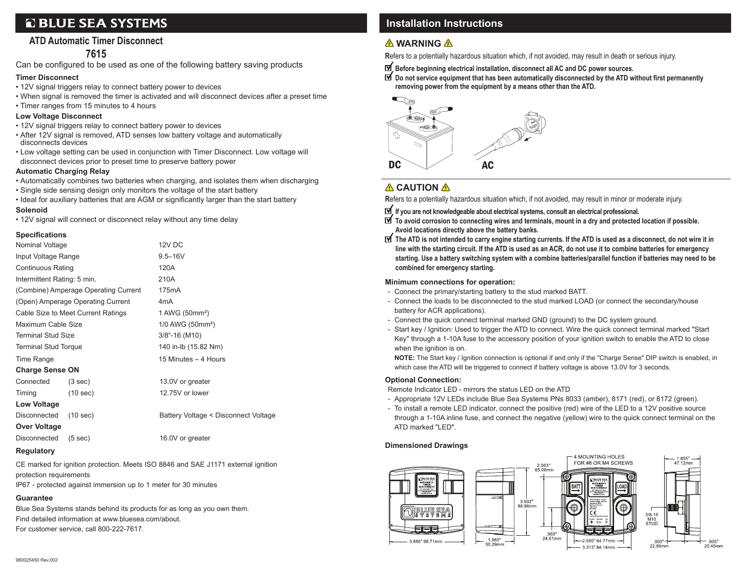# **Q BLUE SEA SYSTEMS**

## **ATD Automatic Timer Disconnect**

## **7615**

Can be configured to be used as one of the following battery saving products

## **Timer Disconnect**

- 12V signal triggers relay to connect battery power to devices
- When signal is removed the timer is activated and will disconnect devices after a preset time
- Timer ranges from 15 minutes to 4 hours

### **Low Voltage Disconnect**

- 12V signal triggers relay to connect battery power to devices
- After 12V signal is removed, ATD senses low battery voltage and automatically disconnects devices
- Low voltage setting can be used in conjunction with Timer Disconnect. Low voltage will disconnect devices prior to preset time to preserve battery power

### **Automatic Charging Relay**

- Automatically combines two batteries when charging, and isolates them when discharging
- Single side sensing design only monitors the voltage of the start battery
- Ideal for auxiliary batteries that are AGM or significantly larger than the start battery

### **Solenoid**

• 12V signal will connect or disconnect relay without any time delay

## **Specifications**

| Nominal Voltage                                |                                      | 12V DC                               |  |  |
|------------------------------------------------|--------------------------------------|--------------------------------------|--|--|
| Input Voltage Range                            |                                      | $9.5 - 16V$                          |  |  |
| <b>Continuous Rating</b>                       |                                      | 120A                                 |  |  |
| Intermittent Rating: 5 min.                    |                                      | 210A                                 |  |  |
|                                                | (Combine) Amperage Operating Current | 175mA                                |  |  |
|                                                | (Open) Amperage Operating Current    | 4 <sub>m</sub> A                     |  |  |
| Cable Size to Meet Current Ratings             |                                      | 1 AWG (50mm <sup>2</sup> )           |  |  |
| Maximum Cable Size                             |                                      | 1/0 AWG (50mm <sup>2</sup> )         |  |  |
| <b>Terminal Stud Size</b>                      |                                      | $3/8$ "-16 (M10)                     |  |  |
| <b>Terminal Stud Torque</b>                    |                                      | 140 in-lb (15.82 Nm)                 |  |  |
| Time Range                                     |                                      | 15 Minutes - 4 Hours                 |  |  |
| <b>Charge Sense ON</b>                         |                                      |                                      |  |  |
| Connected                                      | (3 sec)                              | 13.0V or greater                     |  |  |
| Timing                                         | (10 sec)                             | 12.75V or lower                      |  |  |
| Low Voltage                                    |                                      |                                      |  |  |
| Disconnected<br>(10 sec)                       |                                      | Battery Voltage < Disconnect Voltage |  |  |
| Over Voltage                                   |                                      |                                      |  |  |
| Disconnected<br>(5 sec)                        |                                      | 16.0V or greater                     |  |  |
| Experience in the contract of the state of the |                                      |                                      |  |  |

#### **Regulatory**

CE marked for ignition protection. Meets ISO 8846 and SAE J1171 external ignition protection requirements

IP67 - protected against immersion up to 1 meter for 30 minutes

### **Guarantee**

Blue Sea Systems stands behind its products for as long as you own them. Find detailed information at www.bluesea.com/about. For customer service, call 800-222-7617.

## **Installation Instructions**

## **A** WARNING A

**R**efers to a potentially hazardous situation which, if not avoided, may result in death or serious injury.

- **Before beginning electrical installation, disconnect all AC and DC power sources.**
- **Do not service equipment that has been automatically disconnected by the ATD without first permanently removing power from the equipment by a means other than the ATD.**



## **A** CAUTION A

**R**efers to a potentially hazardous situation which, if not avoided, may result in minor or moderate injury.

- **If you are not knowledgeable about electrical systems, consult an electrical professional.**
- **To avoid corrosion to connecting wires and terminals, mount in a dry and protected location if possible. Avoid locations directly above the battery banks.**
- **The ATD is not intended to carry engine starting currents. If the ATD is used as a disconnect, do not wire it in line with the starting circuit. If the ATD is used as an ACR, do not use it to combine batteries for emergency starting. Use a battery switching system with a combine batteries/parallel function if batteries may need to be combined for emergency starting.**

#### **Minimum connections for operation:**

- Connect the primary/starting battery to the stud marked BATT.
- Connect the loads to be disconnected to the stud marked LOAD (or connect the secondary/house battery for ACR applications).
- Connect the quick connect terminal marked GND (ground) to the DC system ground.
- Start key / Ignition: Used to trigger the ATD to connect. Wire the quick connect terminal marked "Start Key" through a 1-10A fuse to the accessory position of your ignition switch to enable the ATD to close when the ignition is on.

 **NOTE:** The Start key / Ignition connection is optional if and only if the "Charge Sense" DIP switch is enabled, in which case the ATD will be triggered to connect if battery voltage is above 13.0V for 3 seconds.

### **Optional Connection:**

Remote Indicator LED - mirrors the status LED on the ATD

- Appropriate 12V LEDs include Blue Sea Systems PNs 8033 (amber), 8171 (red), or 8172 (green).
- To install a remote LED indicator, connect the positive (red) wire of the LED to a 12V positive source through a 1-10A inline fuse, and connect the negative (yellow) wire to the quick connect terminal on the ATD marked "LED"

### **Dimensioned Drawings**